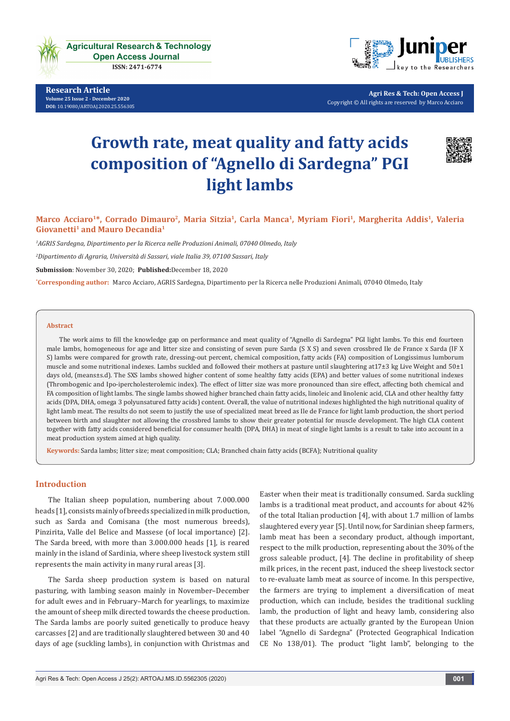

**Research Article Volume 25 Issue 2 - December 2020 [DOI:](http://dx.doi.org/10.19080/artoaj.2016.02.555590
)** [10.19080/ARTOAJ.2020.25.556305](http://dx.doi.org/10.19080/ARTOAJ.2020.25.556305)



**Agri Res & Tech: Open Access J** Copyright © All rights are reserved by Marco Acciaro

# **Growth rate, meat quality and fatty acids composition of "Agnello di Sardegna" PGI light lambs**



# **Marco Acciaro1\*, Corrado Dimauro2, Maria Sitzia1, Carla Manca1, Myriam Fiori1, Margherita Addis1, Valeria Giovanetti<sup>1</sup> and Mauro Decandia<sup>1</sup>**

*1 AGRIS Sardegna, Dipartimento per la Ricerca nelle Produzioni Animali, 07040 Olmedo, Italy*

*2 Dipartimento di Agraria, Università di Sassari, viale Italia 39, 07100 Sassari, Italy*

**Submission**: November 30, 2020; **Published:**December 18, 2020

**\* Corresponding author:** Marco Acciaro, AGRIS Sardegna, Dipartimento per la Ricerca nelle Produzioni Animali, 07040 Olmedo, Italy

#### **Abstract**

The work aims to fill the knowledge gap on performance and meat quality of "Agnello di Sardegna" PGI light lambs. To this end fourteen male lambs, homogeneous for age and litter size and consisting of seven pure Sarda (S X S) and seven crossbred Ile de France x Sarda (IF X S) lambs were compared for growth rate, dressing-out percent, chemical composition, fatty acids (FA) composition of Longissimus lumborum muscle and some nutritional indexes. Lambs suckled and followed their mothers at pasture until slaughtering at17±3 kg Live Weight and 50±1 days old, (means±s.d). The SXS lambs showed higher content of some healthy fatty acids (EPA) and better values of some nutritional indexes (Thrombogenic and Ipo-ipercholesterolemic index). The effect of litter size was more pronounced than sire effect, affecting both chemical and FA composition of light lambs. The single lambs showed higher branched chain fatty acids, linoleic and linolenic acid, CLA and other healthy fatty acids (DPA, DHA, omega 3 polyunsatured fatty acids) content. Overall, the value of nutritional indexes highlighted the high nutritional quality of light lamb meat. The results do not seem to justify the use of specialized meat breed as Ile de France for light lamb production, the short period between birth and slaughter not allowing the crossbred lambs to show their greater potential for muscle development. The high CLA content together with fatty acids considered beneficial for consumer health (DPA, DHA) in meat of single light lambs is a result to take into account in a meat production system aimed at high quality.

**Keywords:** Sarda lambs; litter size; meat composition; CLA; Branched chain fatty acids (BCFA); Nutritional quality

# **Introduction**

The Italian sheep population, numbering about 7.000.000 heads [1], consists mainly of breeds specialized in milk production, such as Sarda and Comisana (the most numerous breeds), Pinzirita, Valle del Belice and Massese (of local importance) [2]. The Sarda breed, with more than 3.000.000 heads [1], is reared mainly in the island of Sardinia, where sheep livestock system still represents the main activity in many rural areas [3].

The Sarda sheep production system is based on natural pasturing, with lambing season mainly in November–December for adult ewes and in February–March for yearlings, to maximize the amount of sheep milk directed towards the cheese production. The Sarda lambs are poorly suited genetically to produce heavy carcasses [2] and are traditionally slaughtered between 30 and 40 days of age (suckling lambs), in conjunction with Christmas and

Easter when their meat is traditionally consumed. Sarda suckling lambs is a traditional meat product, and accounts for about 42% of the total Italian production [4], with about 1.7 million of lambs slaughtered every year [5]. Until now, for Sardinian sheep farmers, lamb meat has been a secondary product, although important, respect to the milk production, representing about the 30% of the gross saleable product, [4]. The decline in profitability of sheep milk prices, in the recent past, induced the sheep livestock sector to re-evaluate lamb meat as source of income. In this perspective, the farmers are trying to implement a diversification of meat production, which can include, besides the traditional suckling lamb, the production of light and heavy lamb, considering also that these products are actually granted by the European Union label "Agnello di Sardegna" (Protected Geographical Indication CE No 138/01). The product "light lamb", belonging to the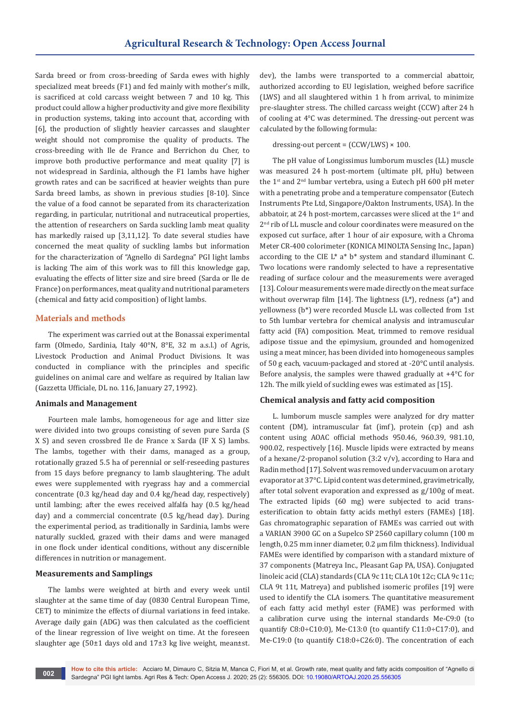Sarda breed or from cross-breeding of Sarda ewes with highly specialized meat breeds (F1) and fed mainly with mother's milk, is sacrificed at cold carcass weight between 7 and 10 kg. This product could allow a higher productivity and give more flexibility in production systems, taking into account that, according with [6], the production of slightly heavier carcasses and slaughter weight should not compromise the quality of products. The cross-breeding with Ile de France and Berrichon du Cher, to improve both productive performance and meat quality [7] is not widespread in Sardinia, although the F1 lambs have higher growth rates and can be sacrificed at heavier weights than pure Sarda breed lambs, as shown in previous studies [8-10]. Since the value of a food cannot be separated from its characterization regarding, in particular, nutritional and nutraceutical properties, the attention of researchers on Sarda suckling lamb meat quality has markedly raised up [3,11,12]. To date several studies have concerned the meat quality of suckling lambs but information for the characterization of "Agnello di Sardegna" PGI light lambs is lacking The aim of this work was to fill this knowledge gap, evaluating the effects of litter size and sire breed (Sarda or Ile de France) on performances, meat quality and nutritional parameters (chemical and fatty acid composition) of light lambs.

# **Materials and methods**

The experiment was carried out at the Bonassai experimental farm (Olmedo, Sardinia, Italy 40°N, 8°E, 32 m a.s.l.) of Agris, Livestock Production and Animal Product Divisions. It was conducted in compliance with the principles and specific guidelines on animal care and welfare as required by Italian law (Gazzetta Ufficiale, DL no. 116, January 27, 1992).

#### **Animals and Management**

Fourteen male lambs, homogeneous for age and litter size were divided into two groups consisting of seven pure Sarda (S X S) and seven crossbred Ile de France x Sarda (IF X S) lambs. The lambs, together with their dams, managed as a group, rotationally grazed 5.5 ha of perennial or self-reseeding pastures from 15 days before pregnancy to lamb slaughtering. The adult ewes were supplemented with ryegrass hay and a commercial concentrate (0.3 kg/head day and 0.4 kg/head day, respectively) until lambing; after the ewes received alfalfa hay (0.5 kg/head day) and a commercial concentrate (0.5 kg/head day). During the experimental period, as traditionally in Sardinia, lambs were naturally suckled, grazed with their dams and were managed in one flock under identical conditions, without any discernible differences in nutrition or management.

#### **Measurements and Samplings**

The lambs were weighted at birth and every week until slaughter at the same time of day (0830 Central European Time, CET) to minimize the effects of diurnal variations in feed intake. Average daily gain (ADG) was then calculated as the coefficient of the linear regression of live weight on time. At the foreseen slaughter age (50±1 days old and 17±3 kg live weight, mean±st.

dev), the lambs were transported to a commercial abattoir, authorized according to EU legislation, weighed before sacrifice (LWS) and all slaughtered within 1 h from arrival, to minimize pre-slaughter stress. The chilled carcass weight (CCW) after 24 h of cooling at 4°C was determined. The dressing-out percent was calculated by the following formula:

#### dressing-out percent =  $(CCW/LWS) \times 100$ .

The pH value of Longissimus lumborum muscles (LL) muscle was measured 24 h post-mortem (ultimate pH, pHu) between the 1<sup>st</sup> and 2<sup>nd</sup> lumbar vertebra, using a Eutech pH 600 pH meter with a penetrating probe and a temperature compensator (Eutech Instruments Pte Ltd, Singapore/Oakton Instruments, USA). In the abbatoir, at 24 h post-mortem, carcasses were sliced at the 1<sup>st</sup> and 2<sup>nd</sup> rib of LL muscle and colour coordinates were measured on the exposed cut surface, after 1 hour of air exposure, with a Chroma Meter CR-400 colorimeter (KONICA MINOLTA Sensing Inc., Japan) according to the CIE L\* a\* b\* system and standard illuminant C. Two locations were randomly selected to have a representative reading of surface colour and the measurements were averaged [13]. Colour measurements were made directly on the meat surface without overwrap film [14]. The lightness  $(L^*)$ , redness  $(a^*)$  and yellowness (b\*) were recorded Muscle LL was collected from 1st to 5th lumbar vertebra for chemical analysis and intramuscular fatty acid (FA) composition. Meat, trimmed to remove residual adipose tissue and the epimysium, grounded and homogenized using a meat mincer, has been divided into homogeneous samples of 50 g each, vacuum-packaged and stored at -20°C until analysis. Before analysis, the samples were thawed gradually at +4°C for 12h. The milk yield of suckling ewes was estimated as [15].

#### **Chemical analysis and fatty acid composition**

L. lumborum muscle samples were analyzed for dry matter content (DM), intramuscular fat (imf), protein (cp) and ash content using AOAC official methods 950.46, 960.39, 981.10, 900.02, respectively [16]. Muscle lipids were extracted by means of a hexane/2-propanol solution  $(3.2 \text{ v/v})$ , according to Hara and Radin method [17]. Solvent was removed under vacuum on a rotary evaporator at 37°C. Lipid content was determined, gravimetrically, after total solvent evaporation and expressed as g/100g of meat. The extracted lipids (60 mg) were subjected to acid transesterification to obtain fatty acids methyl esters (FAMEs) [18]. Gas chromatographic separation of FAMEs was carried out with a VARIAN 3900 GC on a Supelco SP 2560 capillary column (100 m length, 0.25 mm inner diameter, 0.2 µm film thickness). Individual FAMEs were identified by comparison with a standard mixture of 37 components (Matreya Inc., Pleasant Gap PA, USA). Conjugated linoleic acid (CLA) standards (CLA 9c 11t; CLA 10t 12c; CLA 9c 11c; CLA 9t 11t, Matreya) and published isomeric profiles [19] were used to identify the CLA isomers. The quantitative measurement of each fatty acid methyl ester (FAME) was performed with a calibration curve using the internal standards Me-C9:0 (to quantify C8:0÷C10:0), Me-C13:0 (to quantify C11:0÷C17:0), and Me-C19:0 (to quantify C18:0÷C26:0). The concentration of each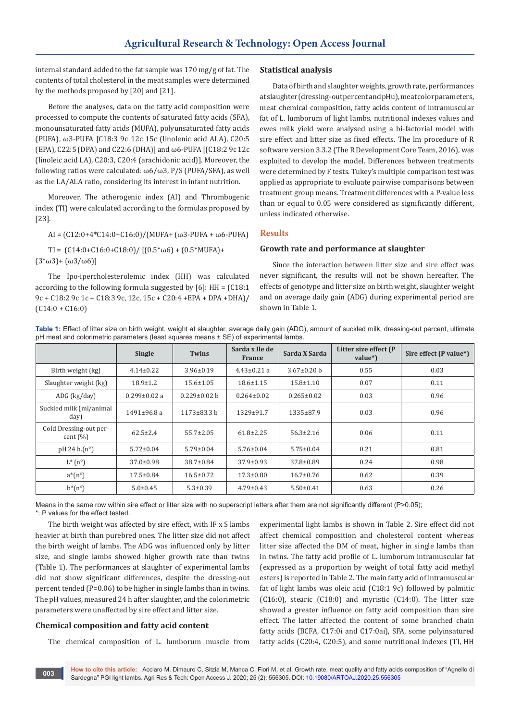internal standard added to the fat sample was 170 mg/g of fat. The contents of total cholesterol in the meat samples were determined by the methods proposed by [20] and [21].

Before the analyses, data on the fatty acid composition were processed to compute the contents of saturated fatty acids (SFA), monounsaturated fatty acids (MUFA), polyunsaturated fatty acids (PUFA), ω3-PUFA [C18:3 9c 12c 15c (linolenic acid ALA), C20:5 (EPA), C22:5 (DPA) and C22:6 (DHA)] and ω6-PUFA [(C18:2 9c 12c (linoleic acid LA), C20:3, C20:4 (arachidonic acid)]. Moreover, the following ratios were calculated:  $\omega$ 6/ $\omega$ 3, P/S (PUFA/SFA), as well as the LA/ALA ratio, considering its interest in infant nutrition.

Moreover, The atherogenic index (AI) and Thrombogenic index (TI) were calculated according to the formulas proposed by [23].

AI = (C12:0+4\*C14:0+C16:0)/(MUFA+ (ω3-PUFA + ω6-PUFA)

TI =  $(C14:0+C16:0+C18:0)/[(0.5*\omega6)+(0.5*MUFA)+$  $(3*\omega3)+ (\omega3/\omega6)]$ 

The Ipo-ipercholesterolemic index (HH) was calculated according to the following formula suggested by [6]: HH = (C18:1 9c + C18:2 9c 1c + C18:3 9c, 12c, 15c + C20:4 +EPA + DPA +DHA)/  $(C14:0 + C16:0)$ 

# **Statistical analysis**

Data of birth and slaughter weights, growth rate, performances at slaughter (dressing-out percent and pHu), meat color parameters, meat chemical composition, fatty acids content of intramuscular fat of L. lumborum of light lambs, nutritional indexes values and ewes milk yield were analysed using a bi-factorial model with sire effect and litter size as fixed effects. The lm procedure of R software version 3.3.2 (The R Development Core Team, 2016), was exploited to develop the model. Differences between treatments were determined by F tests. Tukey's multiple comparison test was applied as appropriate to evaluate pairwise comparisons between treatment group means. Treatment differences with a P-value less than or equal to 0.05 were considered as significantly different, unless indicated otherwise.

#### **Results**

#### **Growth rate and performance at slaughter**

Since the interaction between litter size and sire effect was never significant, the results will not be shown hereafter. The effects of genotype and litter size on birth weight, slaughter weight and on average daily gain (ADG) during experimental period are shown in Table 1.

**Table 1:** Effect of litter size on birth weight, weight at slaughter, average daily gain (ADG), amount of suckled milk, dressing-out percent, ultimate pH meat and colorimetric parameters (least squares means ± SE) of experimental lambs.

|                                        | <b>Single</b>      | <b>Twins</b>       | Sarda x Ile de<br><b>France</b> | Sarda X Sarda     | Litter size effect (P<br>value*) | Sire effect (P value*) |
|----------------------------------------|--------------------|--------------------|---------------------------------|-------------------|----------------------------------|------------------------|
| Birth weight (kg)                      | $4.14 \pm 0.22$    | $3.96 \pm 0.19$    | $4.43 \pm 0.21$ a               | $3.67 \pm 0.20$ b | 0.55                             | 0.03                   |
| Slaughter weight (kg)                  | $18.9 \pm 1.2$     | $15.6 \pm 1.05$    | $18.6 \pm 1.15$                 | $15.8 \pm 1.10$   | 0.07                             | 0.11                   |
| $ADG$ (kg/day)                         | $0.299 \pm 0.02$ a | $0.229 \pm 0.02$ b | $0.264 \pm 0.02$                | $0.265 \pm 0.02$  | 0.03                             | 0.96                   |
| Suckled milk (ml/animal<br>day)        | 1491±96.8 a        | $1173 \pm 83.3$ b  | 1329±91.7                       | 1335±87.9         | 0.03                             | 0.96                   |
| Cold Dressing-out per-<br>cent $(\% )$ | $62.5 \pm 2.4$     | $55.7 \pm 2.05$    | $61.8 \pm 2.25$                 | $56.3 \pm 2.16$   | 0.06                             | 0.11                   |
| pH 24 h(n°)                            | $5.72 \pm 0.04$    | $5.79 \pm 0.04$    | $5.76 \pm 0.04$                 | $5.75 \pm 0.04$   | 0.21                             | 0.81                   |
| $L^*(n^{\circ})$                       | $37.0 \pm 0.98$    | $38.7 \pm 0.84$    | $37.9 \pm 0.93$                 | $37.8 \pm 0.89$   | 0.24                             | 0.98                   |
| $a^*(n^{\circ})$                       | $17.5 \pm 0.84$    | $16.5 \pm 0.72$    | $17.3 \pm 0.80$                 | $16.7 \pm 0.76$   | 0.62                             | 0.39                   |
| $b^*(n^{\circ})$                       | $5.0 \pm 0.45$     | $5.3 \pm 0.39$     | $4.79 \pm 0.43$                 | $5.50 \pm 0.41$   | 0.63                             | 0.26                   |

Means in the same row within sire effect or litter size with no superscript letters after them are not significantly different (P>0.05); \*: P values for the effect tested.

The birth weight was affected by sire effect, with IF x S lambs heavier at birth than purebred ones. The litter size did not affect the birth weight of lambs. The ADG was influenced only by litter size, and single lambs showed higher growth rate than twins (Table 1). The performances at slaughter of experimental lambs did not show significant differences, despite the dressing-out percent tended (P=0.06) to be higher in single lambs than in twins. The pH values, measured 24 h after slaughter, and the colorimetric parameters were unaffected by sire effect and litter size.

### **Chemical composition and fatty acid content**

The chemical composition of L. lumborum muscle from

experimental light lambs is shown in Table 2. Sire effect did not affect chemical composition and cholesterol content whereas litter size affected the DM of meat, higher in single lambs than in twins. The fatty acid profile of L. lumborum intramuscular fat (expressed as a proportion by weight of total fatty acid methyl esters) is reported in Table 2. The main fatty acid of intramuscular fat of light lambs was oleic acid (C18:1 9c) followed by palmitic (C16:0), stearic (C18:0) and myristic (C14:0). The litter size showed a greater influence on fatty acid composition than sire effect. The latter affected the content of some branched chain fatty acids (BCFA, C17:0i and C17:0ai), SFA, some polyinsatured fatty acids (C20:4, C20:5), and some nutritional indexes (TI, HH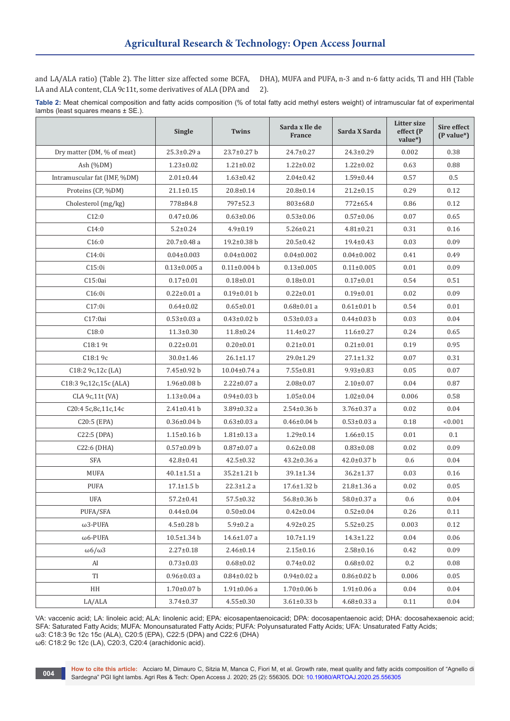and LA/ALA ratio) (Table 2). The litter size affected some BCFA, LA and ALA content, CLA 9c11t, some derivatives of ALA (DPA and

DHA), MUFA and PUFA, n-3 and n-6 fatty acids, TI and HH (Table 2).

**Table 2:** Meat chemical composition and fatty acids composition (% of total fatty acid methyl esters weight) of intramuscular fat of experimental lambs (least squares means ± SE.).

|                              | Single             | <b>Twins</b>       | Sarda x Ile de<br>France | Sarda X Sarda     | Litter size<br>effect (P<br>value*) | Sire effect<br>$(P value^*)$ |
|------------------------------|--------------------|--------------------|--------------------------|-------------------|-------------------------------------|------------------------------|
| Dry matter (DM, % of meat)   | $25.3 \pm 0.29$ a  | $23.7 \pm 0.27$ b  | 24.7±0.27                | $24.3 \pm 0.29$   | 0.002                               | 0.38                         |
| Ash $(%DM)$                  | $1.23 \pm 0.02$    | $1.21 \pm 0.02$    | $1.22 \pm 0.02$          | $1.22 \pm 0.02$   | 0.63                                | 0.88                         |
| Intramuscular fat (IMF, %DM) | $2.01 \pm 0.44$    | $1.63 \pm 0.42$    | $2.04 \pm 0.42$          | $1.59 \pm 0.44$   | 0.57                                | $0.5\,$                      |
| Proteins (CP, %DM)           | $21.1 \pm 0.15$    | $20.8 \pm 0.14$    | 20.8±0.14                | $21.2 \pm 0.15$   | 0.29                                | 0.12                         |
| Cholesterol (mg/kg)          | 778±84.8           | 797±52.3           | 803±68.0                 | 772±65.4          | 0.86                                | 0.12                         |
| C12:0                        | $0.47 \pm 0.06$    | $0.63 \pm 0.06$    | $0.53 \pm 0.06$          | $0.57 \pm 0.06$   | 0.07                                | 0.65                         |
| C14:0                        | $5.2 \pm 0.24$     | $4.9 \pm 0.19$     | $5.26 \pm 0.21$          | $4.81 \pm 0.21$   | 0.31                                | 0.16                         |
| C16:0                        | $20.7 \pm 0.48$ a  | $19.2 \pm 0.38$ b  | 20.5±0.42                | $19.4 \pm 0.43$   | 0.03                                | 0.09                         |
| C14:0i                       | $0.04 \pm 0.003$   | $0.04 \pm 0.002$   | $0.04 \pm 0.002$         | $0.04 \pm 0.002$  | 0.41                                | 0.49                         |
| C15:0i                       | $0.13{\pm}0.005$ a | $0.11 \pm 0.004$ b | $0.13 \pm 0.005$         | $0.11 \pm 0.005$  | 0.01                                | 0.09                         |
| C15:0ai                      | $0.17 \pm 0.01$    | $0.18 + 0.01$      | $0.18 \pm 0.01$          | $0.17 \pm 0.01$   | 0.54                                | 0.51                         |
| C16:0i                       | $0.22 \pm 0.01$ a  | $0.19 \pm 0.01$ b  | $0.22 \pm 0.01$          | $0.19 \pm 0.01$   | 0.02                                | 0.09                         |
| C17:0i                       | $0.64 \pm 0.02$    | $0.65 \pm 0.01$    | $0.68 \pm 0.01$ a        | $0.61 \pm 0.01$ b | 0.54                                | 0.01                         |
| C17:0ai                      | $0.53 \pm 0.03$ a  | $0.43 \pm 0.02$ b  | $0.53 \pm 0.03$ a        | $0.44 \pm 0.03$ b | 0.03                                | 0.04                         |
| C18:0                        | $11.3 \pm 0.30$    | $11.8 \pm 0.24$    | $11.4 \pm 0.27$          | $11.6 \pm 0.27$   | 0.24                                | 0.65                         |
| C18:19t                      | $0.22 \pm 0.01$    | $0.20 \pm 0.01$    | $0.21 \pm 0.01$          | $0.21 \pm 0.01$   | 0.19                                | 0.95                         |
| C18:19c                      | $30.0 \pm 1.46$    | $26.1 \pm 1.17$    | 29.0±1.29                | $27.1 \pm 1.32$   | 0.07                                | 0.31                         |
| C18:2 9c,12c (LA)            | 7.45±0.92 b        | $10.04 \pm 0.74$ a | $7.55 \pm 0.81$          | $9.93 \pm 0.83$   | 0.05                                | 0.07                         |
| C18:3 9c,12c,15c (ALA)       | $1.96 \pm 0.08$ b  | $2.22 \pm 0.07$ a  | $2.08 \pm 0.07$          | $2.10 \pm 0.07$   | 0.04                                | 0.87                         |
| CLA 9c, 11t (VA)             | $1.13 \pm 0.04$ a  | $0.94 \pm 0.03$ b  | $1.05 \pm 0.04$          | $1.02 \pm 0.04$   | 0.006                               | 0.58                         |
| C20:4 5c,8c,11c,14c          | $2.41 \pm 0.41$ b  | $3.89 \pm 0.32$ a  | $2.54 \pm 0.36$ b        | 3.76±0.37 a       | 0.02                                | 0.04                         |
| C20:5 (EPA)                  | $0.36 \pm 0.04$ b  | $0.63 \pm 0.03$ a  | $0.46 \pm 0.04$ b        | $0.53 \pm 0.03$ a | 0.18                                | < 0.001                      |
| C22:5 (DPA)                  | $1.15 \pm 0.16$ b  | $1.81 \pm 0.13$ a  | $1.29 \pm 0.14$          | $1.66 \pm 0.15$   | 0.01                                | 0.1                          |
| C22:6 (DHA)                  | $0.57 \pm 0.09$ b  | $0.87 \pm 0.07$ a  | $0.62 \pm 0.08$          | $0.83 \pm 0.08$   | 0.02                                | 0.09                         |
| SFA                          | $42.8 \pm 0.41$    | $42.5 \pm 0.32$    | $43.2 \pm 0.36$ a        | $42.0 \pm 0.37$ b | 0.6                                 | 0.04                         |
| <b>MUFA</b>                  | $40.1 \pm 1.51$ a  | 35.2±1.21 b        | 39.1±1.34                | $36.2 \pm 1.37$   | 0.03                                | 0.16                         |
| <b>PUFA</b>                  | $17.1 \pm 1.5$ b   | $22.3 \pm 1.2 a$   | 17.6±1.32 b              | 21.8±1.36 a       | 0.02                                | 0.05                         |
| <b>UFA</b>                   | $57.2 \pm 0.41$    | $57.5 \pm 0.32$    | 56.8±0.36 b              | 58.0±0.37 a       | 0.6                                 | 0.04                         |
| PUFA/SFA                     | $0.44 \pm 0.04$    | $0.50 \pm 0.04$    | $0.42 \pm 0.04$          | $0.52 \pm 0.04$   | 0.26                                | 0.11                         |
| $\omega$ 3-PUFA              | $4.5 \pm 0.28$ b   | $5.9 \pm 0.2 a$    | $4.92 \pm 0.25$          | $5.52 \pm 0.25$   | 0.003                               | 0.12                         |
| $\omega$ 6-PUFA              | 10.5±1.34 b        | 14.6±1.07 a        | $10.7 \pm 1.19$          | $14.3 \pm 1.22$   | 0.04                                | 0.06                         |
| $\omega$ 6/ $\omega$ 3       | $2.27 \pm 0.18$    | $2.46 \pm 0.14$    | $2.15 \pm 0.16$          | $2.58 \pm 0.16$   | 0.42                                | 0.09                         |
| AI                           | $0.73 \pm 0.03$    | $0.68 \pm 0.02$    | $0.74 \pm 0.02$          | $0.68 \pm 0.02$   | 0.2                                 | 0.08                         |
| TI                           | $0.96 \pm 0.03$ a  | $0.84 \pm 0.02$ b  | $0.94 \pm 0.02$ a        | $0.86 \pm 0.02$ b | 0.006                               | 0.05                         |
| HH                           | $1.70 \pm 0.07$ b  | $1.91 \pm 0.06$ a  | $1.70 \pm 0.06$ b        | $1.91 \pm 0.06$ a | 0.04                                | 0.04                         |
| LA/ALA                       | $3.74 \pm 0.37$    | $4.55 \pm 0.30$    | $3.61 \pm 0.33$ b        | $4.68 \pm 0.33$ a | 0.11                                | 0.04                         |

VA: vaccenic acid; LA: linoleic acid; ALA: linolenic acid; EPA: eicosapentaenoicacid; DPA: docosapentaenoic acid; DHA: docosahexaenoic acid; SFA: Saturated Fatty Acids; MUFA: Monounsaturated Fatty Acids; PUFA: Polyunsaturated Fatty Acids; UFA: Unsaturated Fatty Acids; ω3: C18:3 9c 12c 15c (ALA), C20:5 (EPA), C22:5 (DPA) and C22:6 (DHA)

ω6: C18:2 9c 12c (LA), C20:3, C20:4 (arachidonic acid).

**004**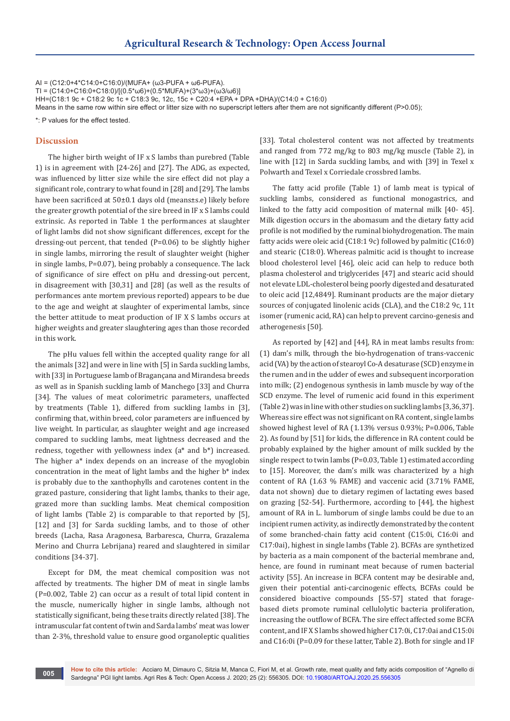AI = (C12:0+4\*C14:0+C16:0)/(MUFA+ (ω3-PUFA + ω6-PUFA). TI =  $(C14.0+C16.0+C18.0)/[(0.5**ω*6)+(0.5**MU*FA)+(3**ω*3)+(*ω*3/*ω*6)]$ HH=(C18:1 9c + C18:2 9c 1c + C18:3 9c, 12c, 15c + C20:4 +EPA + DPA +DHA)/(C14:0 + C16:0) Means in the same row within sire effect or litter size with no superscript letters after them are not significantly different (P>0.05);

\*: P values for the effect tested.

#### **Discussion**

The higher birth weight of IF x S lambs than purebred (Table 1) is in agreement with [24-26] and [27]. The ADG, as expected, was influenced by litter size while the sire effect did not play a significant role, contrary to what found in [28] and [29]. The lambs have been sacrificed at 50±0.1 days old (means±s.e) likely before the greater growth potential of the sire breed in IF x S lambs could extrinsic. As reported in Table 1 the performances at slaughter of light lambs did not show significant differences, except for the dressing-out percent, that tended (P=0.06) to be slightly higher in single lambs, mirroring the result of slaughter weight (higher in single lambs, P=0.07), being probably a consequence. The lack of significance of sire effect on pHu and dressing-out percent, in disagreement with [30,31] and [28] (as well as the results of performances ante mortem previous reported) appears to be due to the age and weight at slaughter of experimental lambs, since the better attitude to meat production of IF X S lambs occurs at higher weights and greater slaughtering ages than those recorded in this work.

The pHu values fell within the accepted quality range for all the animals [32] and were in line with [5] in Sarda suckling lambs, with [33] in Portuguese lamb of Bragançana and Mirandesa breeds as well as in Spanish suckling lamb of Manchego [33] and Churra [34]. The values of meat colorimetric parameters, unaffected by treatments (Table 1), differed from suckling lambs in [3], confirming that, within breed, color parameters are influenced by live weight. In particular, as slaughter weight and age increased compared to suckling lambs, meat lightness decreased and the redness, together with yellowness index (a\* and b\*) increased. The higher a\* index depends on an increase of the myoglobin concentration in the meat of light lambs and the higher b\* index is probably due to the xanthophylls and carotenes content in the grazed pasture, considering that light lambs, thanks to their age, grazed more than suckling lambs. Meat chemical composition of light lambs (Table 2) is comparable to that reported by [5], [12] and [3] for Sarda suckling lambs, and to those of other breeds (Lacha, Rasa Aragonesa, Barbaresca, Churra, Grazalema Merino and Churra Lebrijana) reared and slaughtered in similar conditions [34-37].

Except for DM, the meat chemical composition was not affected by treatments. The higher DM of meat in single lambs (P=0.002, Table 2) can occur as a result of total lipid content in the muscle, numerically higher in single lambs, although not statistically significant, being these traits directly related [38]. The intramuscular fat content of twin and Sarda lambs' meat was lower than 2-3%, threshold value to ensure good organoleptic qualities

[33]. Total cholesterol content was not affected by treatments and ranged from 772 mg/kg to 803 mg/kg muscle (Table 2), in line with [12] in Sarda suckling lambs, and with [39] in Texel x Polwarth and Texel x Corriedale crossbred lambs.

The fatty acid profile (Table 1) of lamb meat is typical of suckling lambs, considered as functional monogastrics, and linked to the fatty acid composition of maternal milk [40- 45]. Milk digestion occurs in the abomasum and the dietary fatty acid profile is not modified by the ruminal biohydrogenation. The main fatty acids were oleic acid (C18:1 9c) followed by palmitic (C16:0) and stearic (C18:0). Whereas palmitic acid is thought to increase blood cholesterol level [46], oleic acid can help to reduce both plasma cholesterol and triglycerides [47] and stearic acid should not elevate LDL-cholesterol being poorly digested and desaturated to oleic acid [12,4849]. Ruminant products are the major dietary sources of conjugated linolenic acids (CLA), and the C18:2 9c, 11t isomer (rumenic acid, RA) can help to prevent carcino-genesis and atherogenesis [50].

As reported by [42] and [44], RA in meat lambs results from: (1) dam's milk, through the bio-hydrogenation of trans-vaccenic acid (VA) by the action of stearoyl Co-A desaturase (SCD) enzyme in the rumen and in the udder of ewes and subsequent incorporation into milk; (2) endogenous synthesis in lamb muscle by way of the SCD enzyme. The level of rumenic acid found in this experiment (Table 2) was in line with other studies on suckling lambs [3,36,37]. Whereas sire effect was not significant on RA content, single lambs showed highest level of RA (1.13% versus 0.93%; P=0.006, Table 2). As found by [51] for kids, the difference in RA content could be probably explained by the higher amount of milk suckled by the single respect to twin lambs (P=0.03, Table 1) estimated according to [15]. Moreover, the dam's milk was characterized by a high content of RA (1.63 % FAME) and vaccenic acid (3.71% FAME, data not shown) due to dietary regimen of lactating ewes based on grazing [52-54]. Furthermore, according to [44], the highest amount of RA in L. lumborum of single lambs could be due to an incipient rumen activity, as indirectly demonstrated by the content of some branched-chain fatty acid content (C15:0i, C16:0i and C17:0ai), highest in single lambs (Table 2). BCFAs are synthetized by bacteria as a main component of the bacterial membrane and, hence, are found in ruminant meat because of rumen bacterial activity [55]. An increase in BCFA content may be desirable and, given their potential anti-carcinogenic effects, BCFAs could be considered bioactive compounds [55-57] stated that foragebased diets promote ruminal cellulolytic bacteria proliferation, increasing the outflow of BCFA. The sire effect affected some BCFA content, and IF X S lambs showed higher C17:0i, C17:0ai and C15:0i and C16:0i (P=0.09 for these latter, Table 2). Both for single and IF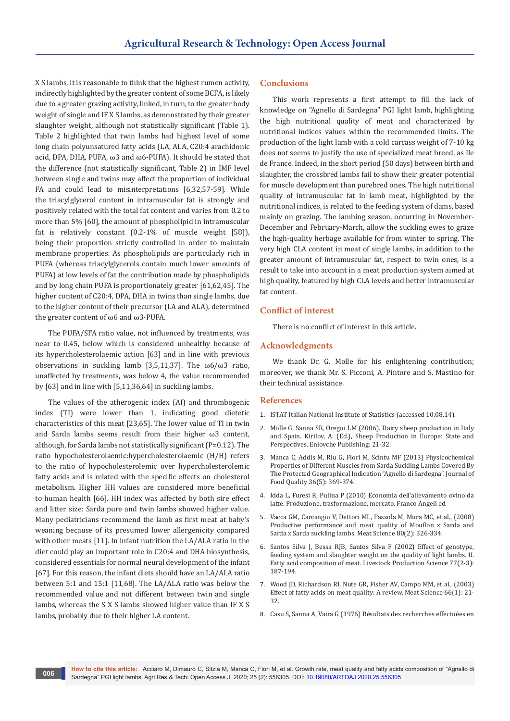X S lambs, it is reasonable to think that the highest rumen activity, indirectly highlighted by the greater content of some BCFA, is likely due to a greater grazing activity, linked, in turn, to the greater body weight of single and IF X S lambs, as demonstrated by their greater slaughter weight, although not statistically significant (Table 1). Table 2 highlighted that twin lambs had highest level of some long chain polyunsatured fatty acids (LA, ALA, C20:4 arachidonic acid, DPA, DHA, PUFA, ω3 and ω6-PUFA). It should be stated that the difference (not statistically significant, Table 2) in IMF level between single and twins may affect the proportion of individual FA and could lead to misinterpretations [6,32,57-59]. While the triacylglycerol content in intramuscular fat is strongly and positively related with the total fat content and varies from 0.2 to more than 5% [60], the amount of phospholipid in intramuscular fat is relatively constant (0.2-1% of muscle weight [58]), being their proportion strictly controlled in order to maintain membrane properties. As phospholipids are particularly rich in PUFA (whereas triacylglycerols contain much lower amounts of PUFA) at low levels of fat the contribution made by phospholipids and by long chain PUFA is proportionately greater [61,62,45]. The higher content of C20:4, DPA, DHA in twins than single lambs, due to the higher content of their precursor (LA and ALA), determined the greater content of ω6 and ω3-PUFA.

The PUFA/SFA ratio value, not influenced by treatments, was near to 0.45, below which is considered unhealthy because of its hypercholesterolaemic action [63] and in line with previous observations in suckling lamb [3,5,11,37]. The  $\omega$ 6/ $\omega$ 3 ratio, unaffected by treatments, was below 4, the value recommended by [63] and in line with [5,11,36,64] in suckling lambs.

The values of the atherogenic index (AI) and thrombogenic index (TI) were lower than 1, indicating good dietetic characteristics of this meat [23,65]. The lower value of TI in twin and Sarda lambs seems result from their higher ω3 content, although, for Sarda lambs not statistically significant (P=0.12). The ratio hypocholesterolaemic:hypercholesterolaemic (H/H) refers to the ratio of hypocholesterolemic over hypercholesterolemic fatty acids and is related with the specific effects on cholesterol metabolism. Higher HH values are considered more beneficial to human health [66]. HH index was affected by both sire effect and litter size: Sarda pure and twin lambs showed higher value. Many pediatricians recommend the lamb as first meat at baby's weaning because of its presumed lower allergenicity compared with other meats [11]. In infant nutrition the LA/ALA ratio in the diet could play an important role in C20:4 and DHA biosynthesis, considered essentials for normal neural development of the infant [67]. For this reason, the infant diets should have an LA/ALA ratio between 5:1 and 15:1 [11,68]. The LA/ALA ratio was below the recommended value and not different between twin and single lambs, whereas the S X S lambs showed higher value than IF X S lambs, probably due to their higher LA content.

**006**

# **Conclusions**

This work represents a first attempt to fill the lack of knowledge on "Agnello di Sardegna" PGI light lamb, highlighting the high nutritional quality of meat and characterized by nutritional indices values within the recommended limits. The production of the light lamb with a cold carcass weight of 7-10 kg does not seems to justify the use of specialized meat breed, as Ile de France. Indeed, in the short period (50 days) between birth and slaughter, the crossbred lambs fail to show their greater potential for muscle development than purebred ones. The high nutritional quality of intramuscular fat in lamb meat, highlighted by the nutritional indices, is related to the feeding system of dams, based mainly on grazing. The lambing season, occurring in November-December and February-March, allow the suckling ewes to graze the high-quality herbage available for from winter to spring. The very high CLA content in meat of single lambs, in addition to the greater amount of intramuscular fat, respect to twin ones, is a result to take into account in a meat production system aimed at high quality, featured by high CLA levels and better intramuscular fat content.

# **Conflict of interest**

There is no conflict of interest in this article.

#### **Acknowledgments**

We thank Dr. G. Molle for his enlightening contribution; moreover, we thank Mr. S. Picconi, A. Pintore and S. Mastino for their technical assistance.

#### **References**

- 1. [ISTAT Italian National Institute of Statistics \(accessed 10.08.14\).](http://dati-censimentoagricoltura.istat.it/Index.aspx)
- 2. Molle G, Sanna SR, Oregui LM (2006). Dairy sheep production in Italy and Spain. Kirilov, A. (Ed.), Sheep Production in Europe: State and Perspectives. Eniovche Publishing: 21-32.
- 3. [Manca C, Addis M, Riu G, Fiori M, Scintu MF \(2013\) Physicochemical](https://onlinelibrary.wiley.com/doi/full/10.1111/jfq.12040)  [Properties of Different Muscles from Sarda Suckling Lambs Covered By](https://onlinelibrary.wiley.com/doi/full/10.1111/jfq.12040)  [The Protected Geographical Indication "Agnello di Sardegna". Journal of](https://onlinelibrary.wiley.com/doi/full/10.1111/jfq.12040)  [Food Quality 36\(5\): 369-374.](https://onlinelibrary.wiley.com/doi/full/10.1111/jfq.12040)
- 4. [Idda L, Furesi R, Pulina P \(2010\) Economia dell'allevamento ovino da](https://www.francoangeli.it/Ricerca/scheda_libro.aspx?Id=18202)  [latte. Produzione, trasformazione, mercato. Franco Angeli ed.](https://www.francoangeli.it/Ricerca/scheda_libro.aspx?Id=18202)
- 5. [Vacca GM, Carcangiu V, Dettori ML, Pazzola M, Mura MC, et al., \(2008\)](https://pubmed.ncbi.nlm.nih.gov/22063337/)  [Productive performance and meat quality of Mouflon x Sarda and](https://pubmed.ncbi.nlm.nih.gov/22063337/)  [Sarda x Sarda suckling lambs. Meat Science 80\(2\): 326-334.](https://pubmed.ncbi.nlm.nih.gov/22063337/)
- 6. [Santos Silva J, Bessa RJB, Santos Silva F \(2002\) Effect of genotype,](https://www.sciencedirect.com/science/article/abs/pii/S0301622602000593)  [feeding system and slaughter weight on the quality of light lambs. II.](https://www.sciencedirect.com/science/article/abs/pii/S0301622602000593)  [Fatty acid composition of meat. Livestock Production Science 77\(2-3\):](https://www.sciencedirect.com/science/article/abs/pii/S0301622602000593)  [187-194.](https://www.sciencedirect.com/science/article/abs/pii/S0301622602000593)
- 7. [Wood JD, Richardson RI, Nute GR, Fisher AV, Campo MM, et al., \(2003\)](https://pubmed.ncbi.nlm.nih.gov/22063928/)  [Effect of fatty acids on meat quality: A review. Meat Science 66\(1\): 21-](https://pubmed.ncbi.nlm.nih.gov/22063928/) [32.](https://pubmed.ncbi.nlm.nih.gov/22063928/)
- 8. Casu S, Sanna A, Vaira G (1976) Résultats des recherches effectuées en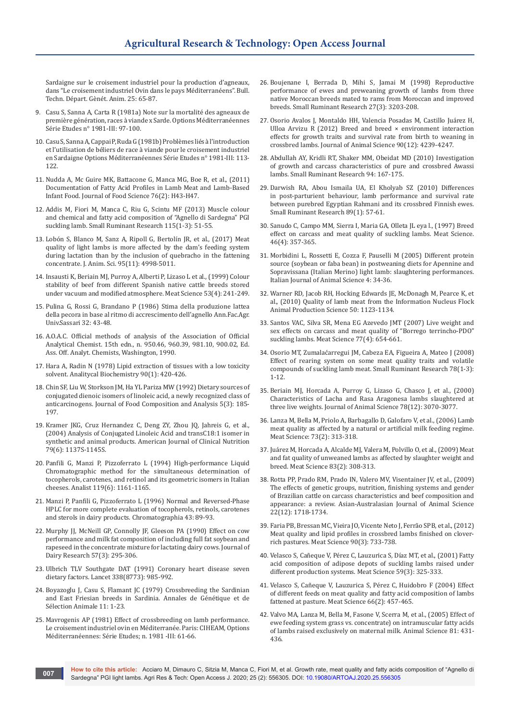Sardaigne sur le croisement industriel pour la production d'agneaux, dans "Le croisement industriel Ovin dans le pays Méditerranéens". Bull. Techn. Départ. Gènét. Anim. 25: 65-87.

- 9. [Casu S, Sanna A, Carta R \(1981a\) Note sur la mortalité des agneaux de](https://om.ciheam.org/article.php?IDPDF=CI010745)  [première génération, races à viande x Sarde. Options Méditerranéennes](https://om.ciheam.org/article.php?IDPDF=CI010745)  [Série Etudes n° 1981-III: 97-100.](https://om.ciheam.org/article.php?IDPDF=CI010745)
- 10. [Casu S, Sanna A, Cappai P, Ruda G \(1981b\) Problèmes liés à l'introduction](https://om.ciheam.org/article.php?IDPDF=CI010747)  [et l'utilisation de béliers de race à viande pour le croisement industriel](https://om.ciheam.org/article.php?IDPDF=CI010747)  [en Sardaigne Options Méditerranéennes Série Etudes n° 1981-III: 113-](https://om.ciheam.org/article.php?IDPDF=CI010747) [122.](https://om.ciheam.org/article.php?IDPDF=CI010747)
- 11. [Nudda A, Mc Guire MK, Battacone G, Manca MG, Boe R, et al., \(2011\)](https://pubmed.ncbi.nlm.nih.gov/21535766/)  [Documentation of Fatty Acid Profiles in Lamb Meat and Lamb-Based](https://pubmed.ncbi.nlm.nih.gov/21535766/)  [Infant Food. Journal of Food Science 76\(2\): H43-H47.](https://pubmed.ncbi.nlm.nih.gov/21535766/)
- 12. [Addis M, Fiori M, Manca C, Riu G, Scintu MF \(2013\) Muscle colour](https://www.sciencedirect.com/science/article/abs/pii/S0921448813002605?via%3Dihub)  [and chemical and fatty acid composition of "Agnello di Sardegna" PGI](https://www.sciencedirect.com/science/article/abs/pii/S0921448813002605?via%3Dihub)  [suckling lamb. Small Ruminant Research 115\(1-3\): 51-55.](https://www.sciencedirect.com/science/article/abs/pii/S0921448813002605?via%3Dihub)
- 13. [Lobón S, Blanco M, Sanz A, Ripoll G, Bertolín JR, et al., \(2017\) Meat](https://pubmed.ncbi.nlm.nih.gov/29293726/)  [quality of light lambs is more affected by the dam's feeding system](https://pubmed.ncbi.nlm.nih.gov/29293726/)  [during lactation than by the inclusion of quebracho in the fattening](https://pubmed.ncbi.nlm.nih.gov/29293726/)  [concentrate. J. Anim. Sci. 95\(11\): 4998-5011.](https://pubmed.ncbi.nlm.nih.gov/29293726/)
- 14. [Insausti K, Beriain MJ, Purroy A, Alberti P, Lizaso L et al., \(1999\) Colour](https://pubmed.ncbi.nlm.nih.gov/22063466/)  [stability of beef from different Spanish native cattle breeds stored](https://pubmed.ncbi.nlm.nih.gov/22063466/)  [under vacuum and modified atmosphere. Meat Science 53\(4\): 241-249.](https://pubmed.ncbi.nlm.nih.gov/22063466/)
- 15. Pulina G, Rossi G, Brandano P (1986) Stima della produzione lattea della pecora in base al ritmo di accrescimento dell'agnello Ann.Fac.Agr. Univ.Sassari 32: 43-48.
- 16. A.O.A.C. Official methods of analysis of the Association of Official Analytical Chemist. 15th edn., n. 950.46, 960.39, 981.10, 900.02, Ed. Ass. Off. Analyt. Chemists, Washington, 1990.
- 17. [Hara A, Radin N \(1978\) Lipid extraction of tissues with a low toxicity](https://pubmed.ncbi.nlm.nih.gov/727482/)  [solvent. Analitycal Biochemistry 90\(1\): 420-426.](https://pubmed.ncbi.nlm.nih.gov/727482/)
- 18. [Chin SF, Liu W, Storkson JM, Ha YL Pariza MW \(1992\) Dietary sources of](https://www.sciencedirect.com/science/article/abs/pii/088915759290037K)  [conjugated dienoic isomers of linoleic acid, a newly recognized class of](https://www.sciencedirect.com/science/article/abs/pii/088915759290037K)  [anticarcinogens. Journal of Food Composition and Analysis 5\(3\): 185-](https://www.sciencedirect.com/science/article/abs/pii/088915759290037K) [197.](https://www.sciencedirect.com/science/article/abs/pii/088915759290037K)
- 19. [Kramer JKG, Cruz Hernandez C, Deng ZY, Zhou JQ, Jahreis G, et al.,](https://pubmed.ncbi.nlm.nih.gov/15159247/)  [\(2004\) Analysis of Conjugated Linoleic Acid and transC18:1 isomer in](https://pubmed.ncbi.nlm.nih.gov/15159247/)  [synthetic and animal products. American Journal of Clinical Nutrition](https://pubmed.ncbi.nlm.nih.gov/15159247/)  [79\(6\): 1137S-1145S.](https://pubmed.ncbi.nlm.nih.gov/15159247/)
- 20. [Panfili G, Manzi P, Pizzoferrato L \(1994\) High-performance Liquid](https://pubmed.ncbi.nlm.nih.gov/8074317/)  [Chromatographic method for the simultaneous determination of](https://pubmed.ncbi.nlm.nih.gov/8074317/)  [tocopherols, carotenes, and retinol and its geometric isomers in Italian](https://pubmed.ncbi.nlm.nih.gov/8074317/)  [cheeses. Analist 119\(6\): 1161-1165.](https://pubmed.ncbi.nlm.nih.gov/8074317/)
- 21. [Manzi P, Panfili G, Pizzoferrato L \(1996\) Normal and Reversed-Phase](https://link.springer.com/article/10.1007/BF02272829)  [HPLC for more complete evaluation of tocopherols, retinols, carotenes](https://link.springer.com/article/10.1007/BF02272829)  [and sterols in dairy products. Chromatographia 43: 89-93.](https://link.springer.com/article/10.1007/BF02272829)
- 22. [Murphy JJ, McNeill GP, Connolly JF, Gleeson PA \(1990\) Effect on cow](https://www.cambridge.org/core/journals/journal-of-dairy-research/article/abs/effect-on-cow-performance-and-milk-fat-composition-of-including-full-fat-soyabeans-and-rapeseeds-in-the-concentrate-mixture-for-lactating-dairy-cows/5C94D0935D7C849EFF563A033F112FA3)  [performance and milk fat composition of including full fat soybean and](https://www.cambridge.org/core/journals/journal-of-dairy-research/article/abs/effect-on-cow-performance-and-milk-fat-composition-of-including-full-fat-soyabeans-and-rapeseeds-in-the-concentrate-mixture-for-lactating-dairy-cows/5C94D0935D7C849EFF563A033F112FA3)  [rapeseed in the concentrate mixture for lactating dairy cows. Journal of](https://www.cambridge.org/core/journals/journal-of-dairy-research/article/abs/effect-on-cow-performance-and-milk-fat-composition-of-including-full-fat-soyabeans-and-rapeseeds-in-the-concentrate-mixture-for-lactating-dairy-cows/5C94D0935D7C849EFF563A033F112FA3)  [Dairy Research 57\(3\): 295-306.](https://www.cambridge.org/core/journals/journal-of-dairy-research/article/abs/effect-on-cow-performance-and-milk-fat-composition-of-including-full-fat-soyabeans-and-rapeseeds-in-the-concentrate-mixture-for-lactating-dairy-cows/5C94D0935D7C849EFF563A033F112FA3)
- 23. [Ulbrich TLV Southgate DAT \(1991\) Coronary heart disease seven](https://pubmed.ncbi.nlm.nih.gov/1681350/)  [dietary factors. Lancet 338\(8773\): 985-992.](https://pubmed.ncbi.nlm.nih.gov/1681350/)
- 24. [Boyazoglu J, Casu S, Flamant JC \(1979\) Crossbreeding the Sardinian](https://gsejournal.biomedcentral.com/articles/10.1186/1297-9686-11-1-23)  [and East Friesian breeds in Sardinia. Annales de Génétique et de](https://gsejournal.biomedcentral.com/articles/10.1186/1297-9686-11-1-23)  [Sélection Animale 11: 1-23.](https://gsejournal.biomedcentral.com/articles/10.1186/1297-9686-11-1-23)
- 25. Mavrogenis AP (1981) Effect of crossbreeding on lamb performance. Le croisement industriel ovin en Méditerranée. Paris: CIHEAM, Options Méditerranéennes: Série Etudes; n. 1981 -III: 61-66.
- 26. [Boujenane I, Berrada D, Mihi S, Jamai M \(1998\) Reproductive](https://www.sciencedirect.com/science/article/abs/pii/S0921448897000527)  [performance of ewes and preweaning growth of lambs from three](https://www.sciencedirect.com/science/article/abs/pii/S0921448897000527)  [native Moroccan breeds mated to rams from Moroccan and improved](https://www.sciencedirect.com/science/article/abs/pii/S0921448897000527)  [breeds. Small Ruminant Research 27\(3\): 3203-208.](https://www.sciencedirect.com/science/article/abs/pii/S0921448897000527)
- 27. [Osorio Avalos J, Montaldo HH, Valencia Posadas M, Castillo Juárez H,](https://pubmed.ncbi.nlm.nih.gov/22952357/)  [Ulloa Arvizu R \(2012\) Breed and breed × environment interaction](https://pubmed.ncbi.nlm.nih.gov/22952357/)  [effects for growth traits and survival rate from birth to weaning in](https://pubmed.ncbi.nlm.nih.gov/22952357/)  [crossbred lambs. Journal of Animal Science 90\(12\): 4239-4247.](https://pubmed.ncbi.nlm.nih.gov/22952357/)
- 28. [Abdullah AY, Kridli RT, Shaker MM, Obeidat MD \(2010\) Investigation](https://www.sciencedirect.com/science/article/abs/pii/S0921448810002415)  [of growth and carcass characteristics of pure and crossbred Awassi](https://www.sciencedirect.com/science/article/abs/pii/S0921448810002415)  [lambs. Small Ruminant Research 94: 167-175.](https://www.sciencedirect.com/science/article/abs/pii/S0921448810002415)
- 29. [Darwish RA, Abou Ismaila UA, El Kholyab SZ \(2010\) Differences](https://www.sciencedirect.com/science/article/abs/pii/S0921448809002648)  [in post-parturient behaviour, lamb performance and survival rate](https://www.sciencedirect.com/science/article/abs/pii/S0921448809002648)  [between purebred Egyptian Rahmani and its crossbred Finnish ewes.](https://www.sciencedirect.com/science/article/abs/pii/S0921448809002648)  [Small Ruminant Research 89\(1\): 57-61.](https://www.sciencedirect.com/science/article/abs/pii/S0921448809002648)
- 30. [Sanudo C, Campo MM, Sierra I, Maria GA, Olleta JL eya l., \(1997\) Breed](https://www.sciencedirect.com/science/article/abs/pii/S0309174097000302)  [effect on carcass and meat quality of suckling lambs. Meat Science.](https://www.sciencedirect.com/science/article/abs/pii/S0309174097000302)  [46\(4\): 357-365.](https://www.sciencedirect.com/science/article/abs/pii/S0309174097000302)
- 31. [Morbidini L, Rossetti E, Cozza F, Pauselli M \(2005\) Different protein](https://www.tandfonline.com/doi/abs/10.4081/ijas.2005.2s.360)  [source \(soybean or faba bean\) in postweaning diets for Apennine and](https://www.tandfonline.com/doi/abs/10.4081/ijas.2005.2s.360)  [Sopravissana \(Italian Merino\) light lamb: slaughtering performances.](https://www.tandfonline.com/doi/abs/10.4081/ijas.2005.2s.360)  [Italian Journal of Animal Science 4: 34-36.](https://www.tandfonline.com/doi/abs/10.4081/ijas.2005.2s.360)
- 32. [Warner RD, Jacob RH, Hocking Edwards JE, McDonagh M, Pearce K, et](https://researchrepository.murdoch.edu.au/id/eprint/3516/)  [al., \(2010\) Quality of lamb meat from the Information Nucleus Flock](https://researchrepository.murdoch.edu.au/id/eprint/3516/)  [Animal Production Science 50: 1123-1134.](https://researchrepository.murdoch.edu.au/id/eprint/3516/)
- 33. [Santos VAC, Silva SR, Mena EG Azevedo JMT \(2007\) Live weight and](https://www.sciencedirect.com/science/article/abs/pii/S0309174007001775)  [sex effects on carcass and meat quality of "Borrego terrincho-PDO"](https://www.sciencedirect.com/science/article/abs/pii/S0309174007001775)  [suckling lambs. Meat Science 77\(4\): 654-661.](https://www.sciencedirect.com/science/article/abs/pii/S0309174007001775)
- 34. [Osorio MT, Zumalaćarregui JM, Cabeza EA, Figueira A, Mateo J \(2008\)](https://www.sciencedirect.com/science/article/abs/pii/S0921448808000746)  [Effect of rearing system on some meat quality traits and volatile](https://www.sciencedirect.com/science/article/abs/pii/S0921448808000746)  [compounds of suckling lamb meat. Small Ruminant Research 78\(1-3\):](https://www.sciencedirect.com/science/article/abs/pii/S0921448808000746)  [1-12.](https://www.sciencedirect.com/science/article/abs/pii/S0921448808000746)
- 35. [Beriain MJ, Horcada A, Purroy G, Lizaso G, Chasco J, et al., \(2000\)](https://pubmed.ncbi.nlm.nih.gov/11132821/)  [Characteristics of Lacha and Rasa Aragonesa lambs slaughtered at](https://pubmed.ncbi.nlm.nih.gov/11132821/)  [three live weights. Journal of Animal Science 78\(12\): 3070-3077.](https://pubmed.ncbi.nlm.nih.gov/11132821/)
- 36. [Lanza M, Bella M, Priolo A, Barbagallo D, Galofaro V, et al., \(2006\) Lamb](https://www.sciencedirect.com/science/article/abs/pii/S0309174006000076)  [meat quality as affected by a natural or artificial milk feeding regime.](https://www.sciencedirect.com/science/article/abs/pii/S0309174006000076)  [Meat Science: 73\(2\): 313-318.](https://www.sciencedirect.com/science/article/abs/pii/S0309174006000076)
- 37. [Juárez M, Horcada A, Alcalde MJ, Valera M, Polvillo O, et al., \(2009\) Meat](https://pubmed.ncbi.nlm.nih.gov/20416728/)  [and fat quality of unweaned lambs as affected by slaughter weight and](https://pubmed.ncbi.nlm.nih.gov/20416728/)  [breed. Meat Science 83\(2\): 308-313.](https://pubmed.ncbi.nlm.nih.gov/20416728/)
- 38. [Rotta PP, Prado RM, Prado IN, Valero MV, Visentainer JV, et al., \(2009\)](https://www.animbiosci.org/journal/view.php?number=22211)  [The effects of genetic groups, nutrition, finishing systems and gender](https://www.animbiosci.org/journal/view.php?number=22211)  [of Brazilian cattle on carcass characteristics and beef composition and](https://www.animbiosci.org/journal/view.php?number=22211)  [appearance: a review. Asian-Australasian Journal of Animal Science](https://www.animbiosci.org/journal/view.php?number=22211)  [22\(12\): 1718-1734.](https://www.animbiosci.org/journal/view.php?number=22211)
- 39. [Faria PB, Bressan MC, Vieira JO, Vicente Neto J, Ferrão SPB, et al., \(2012\)](https://www.sciencedirect.com/science/article/pii/S0309174011003597)  [Meat quality and lipid profiles in crossbred lambs finished on clover](https://www.sciencedirect.com/science/article/pii/S0309174011003597)[rich pastures. Meat Science 90\(3\): 733-738.](https://www.sciencedirect.com/science/article/pii/S0309174011003597)
- 40. [Velasco S, Cañeque V, Pérez C, Lauzurica S, Díaz MT, et al., \(2001\) Fatty](https://www.sciencedirect.com/science/article/abs/pii/S0309174001001358)  [acid composition of adipose depots of suckling lambs raised under](https://www.sciencedirect.com/science/article/abs/pii/S0309174001001358)  [different production systems. Meat Science 59\(3\): 325-333.](https://www.sciencedirect.com/science/article/abs/pii/S0309174001001358)
- 41. [Velasco S, Cañeque V, Lauzurica S, Pérez C, Huidobro F \(2004\) Effect](https://www.sciencedirect.com/science/article/abs/pii/S0309174003001347)  [of different feeds on meat quality and fatty acid composition of lambs](https://www.sciencedirect.com/science/article/abs/pii/S0309174003001347)  [fattened at pasture. Meat Science 66\(2\): 457-465.](https://www.sciencedirect.com/science/article/abs/pii/S0309174003001347)
- 42. [Valvo MA, Lanza M, Bella M, Fasone V, Scerra M, et al., \(2005\) Effect of](https://www.cambridge.org/core/journals/animal-science/article/abs/effect-of-ewe-feeding-system-grass-v-concentrate-on-intramuscular-fatty-acids-of-lambs-raised-exclusively-on-maternal-milk/8D1AAD69A0A55AA965CEB857E548C878)  [ewe feeding system grass vs. concentrate\) on intramuscular fatty acids](https://www.cambridge.org/core/journals/animal-science/article/abs/effect-of-ewe-feeding-system-grass-v-concentrate-on-intramuscular-fatty-acids-of-lambs-raised-exclusively-on-maternal-milk/8D1AAD69A0A55AA965CEB857E548C878)  [of lambs raised exclusively on maternal milk. Animal Science 81: 431-](https://www.cambridge.org/core/journals/animal-science/article/abs/effect-of-ewe-feeding-system-grass-v-concentrate-on-intramuscular-fatty-acids-of-lambs-raised-exclusively-on-maternal-milk/8D1AAD69A0A55AA965CEB857E548C878) [436.](https://www.cambridge.org/core/journals/animal-science/article/abs/effect-of-ewe-feeding-system-grass-v-concentrate-on-intramuscular-fatty-acids-of-lambs-raised-exclusively-on-maternal-milk/8D1AAD69A0A55AA965CEB857E548C878)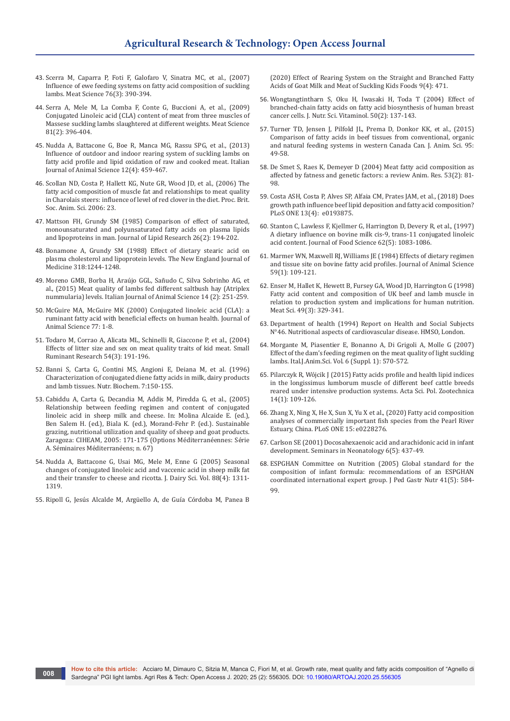- 43. [Scerra M, Caparra P, Foti F, Galofaro V, Sinatra MC, et al., \(2007\)](https://pubmed.ncbi.nlm.nih.gov/22060979/)  [Influence of ewe feeding systems on fatty acid composition of suckling](https://pubmed.ncbi.nlm.nih.gov/22060979/)  [lambs. Meat Science 76\(3\): 390-394.](https://pubmed.ncbi.nlm.nih.gov/22060979/)
- 44. [Serra A, Mele M, La Comba F, Conte G, Buccioni A, et al., \(2009\)](https://pubmed.ncbi.nlm.nih.gov/22064180/)  [Conjugated Linoleic acid \(CLA\) content of meat from three muscles of](https://pubmed.ncbi.nlm.nih.gov/22064180/)  [Massese suckling lambs slaughtered at different weights. Meat Science](https://pubmed.ncbi.nlm.nih.gov/22064180/)  [81\(2\): 396-404.](https://pubmed.ncbi.nlm.nih.gov/22064180/)
- 45. [Nudda A, Battacone G, Boe R, Manca MG, Rassu SPG, et al., \(2013\)](https://www.tandfonline.com/doi/full/10.4081/ijas.2013.e74)  [Influence of outdoor and indoor rearing system of suckling lambs on](https://www.tandfonline.com/doi/full/10.4081/ijas.2013.e74)  [fatty acid profile and lipid oxidation of raw and cooked meat. Italian](https://www.tandfonline.com/doi/full/10.4081/ijas.2013.e74)  [Journal of Animal Science 12\(4\): 459-467.](https://www.tandfonline.com/doi/full/10.4081/ijas.2013.e74)
- 46. [Scollan ND, Costa P, Hallett KG, Nute GR, Wood JD, et al., \(2006\) The](https://www.cambridge.org/core/journals/proceedings-of-the-british-society-of-animal-science/article/abs/fatty-acid-composition-of-muscle-fat-and-relationships-to-meat-quality-in-charolais-steers-influence-of-level-of-red-clover-in-the-diet/FE7ED7748F3764FD3B5D4AC9314E58E5)  [fatty acid composition of muscle fat and relationships to meat quality](https://www.cambridge.org/core/journals/proceedings-of-the-british-society-of-animal-science/article/abs/fatty-acid-composition-of-muscle-fat-and-relationships-to-meat-quality-in-charolais-steers-influence-of-level-of-red-clover-in-the-diet/FE7ED7748F3764FD3B5D4AC9314E58E5)  [in Charolais steers: influence of level of red clover in the diet. Proc. Brit.](https://www.cambridge.org/core/journals/proceedings-of-the-british-society-of-animal-science/article/abs/fatty-acid-composition-of-muscle-fat-and-relationships-to-meat-quality-in-charolais-steers-influence-of-level-of-red-clover-in-the-diet/FE7ED7748F3764FD3B5D4AC9314E58E5)  [Soc. Anim. Sci. 2006: 23.](https://www.cambridge.org/core/journals/proceedings-of-the-british-society-of-animal-science/article/abs/fatty-acid-composition-of-muscle-fat-and-relationships-to-meat-quality-in-charolais-steers-influence-of-level-of-red-clover-in-the-diet/FE7ED7748F3764FD3B5D4AC9314E58E5)
- 47. [Mattson FH, Grundy SM \(1985\) Comparison of effect of saturated,](https://pubmed.ncbi.nlm.nih.gov/3989378/)  [monounsaturated and polyunsaturated fatty acids on plasma lipids](https://pubmed.ncbi.nlm.nih.gov/3989378/)  [and lipoproteins in man. Journal of Lipid Research 26\(2\): 194-202.](https://pubmed.ncbi.nlm.nih.gov/3989378/)
- 48. [Bonamone A, Grundy SM \(1988\) Effect of dietary stearic acid on](file:///C:\Users\Admin\Downloads\v)  [plasma cholesterol and lipoprotein levels. The New England Journal of](file:///C:\Users\Admin\Downloads\v)  [Medicine 318:1244-1248.](file:///C:\Users\Admin\Downloads\v)
- 49. [Moreno GMB, Borba H, Araújo GGL, Sañudo C, Silva Sobrinho AG, et](https://www.tandfonline.com/doi/full/10.4081/ijas.2015.3302)  [al., \(2015\) Meat quality of lambs fed different saltbush hay \(Atriplex](https://www.tandfonline.com/doi/full/10.4081/ijas.2015.3302)  [nummularia\) levels. Italian Journal of Animal Science 14 \(2\): 251-259.](https://www.tandfonline.com/doi/full/10.4081/ijas.2015.3302)
- 50. [McGuire MA, McGuire MK \(2000\) Conjugated linoleic acid \(CLA\): a](https://academic.oup.com/jas/article-abstract/77/suppl_E/1/4625663?redirectedFrom=fulltext)  [ruminant fatty acid with beneficial effects on human health. Journal of](https://academic.oup.com/jas/article-abstract/77/suppl_E/1/4625663?redirectedFrom=fulltext)  [Animal Science 77: 1-8.](https://academic.oup.com/jas/article-abstract/77/suppl_E/1/4625663?redirectedFrom=fulltext)
- 51. [Todaro M, Corrao A, Alicata ML, Schinelli R, Giaccone P, et al., \(2004\)](https://www.sciencedirect.com/science/article/abs/pii/S0921448803003687)  [Effects of litter size and sex on meat quality traits of kid meat. Small](https://www.sciencedirect.com/science/article/abs/pii/S0921448803003687)  [Ruminant Research 54\(3\): 191-196.](https://www.sciencedirect.com/science/article/abs/pii/S0921448803003687)
- 52. [Banni S, Carta G, Contini MS, Angioni E, Deiana M, et al. \(1996\)](https://www.sciencedirect.com/science/article/abs/pii/095528639500193X)  [Characterization of conjugated diene fatty acids in milk, dairy products](https://www.sciencedirect.com/science/article/abs/pii/095528639500193X)  [and lamb tissues. Nutr. Biochem. 7:150-155.](https://www.sciencedirect.com/science/article/abs/pii/095528639500193X)
- 53. Cabiddu A, Carta G, Decandia M, Addis M, Piredda G, et al., (2005) Relationship between feeding regimen and content of conjugated linoleic acid in sheep milk and cheese. In: Molina Alcaide E. (ed.), Ben Salem H. (ed.), Biala K. (ed.), Morand-Fehr P. (ed.). Sustainable grazing, nutritional utilization and quality of sheep and goat products. Zaragoza: CIHEAM, 2005: 171-175 (Options Méditerranéennes: Série A. Séminaires Méditerranéens; n. 67)
- 54. [Nudda A, Battacone G, Usai MG, Mele M, Enne G \(2005\) Seasonal](https://pubmed.ncbi.nlm.nih.gov/15778298/)  [changes of conjugated linoleic acid and vaccenic acid in sheep milk fat](https://pubmed.ncbi.nlm.nih.gov/15778298/)  [and their transfer to cheese and ricotta. J. Dairy Sci. Vol. 88\(4\): 1311-](https://pubmed.ncbi.nlm.nih.gov/15778298/) [1319.](https://pubmed.ncbi.nlm.nih.gov/15778298/)
- 55. [Ripoll G, Jesús Alcalde M, Argüello A, de Guía Córdoba M, Panea B](https://pubmed.ncbi.nlm.nih.gov/32283866/)

[\(2020\) Effect of Rearing System on the Straight and Branched Fatty](https://pubmed.ncbi.nlm.nih.gov/32283866/)  [Acids of Goat Milk and Meat of Suckling Kids Foods 9\(4\): 471.](https://pubmed.ncbi.nlm.nih.gov/32283866/)

- 56. [Wongtangtintharn S, Oku H, Iwasaki H, Toda T \(2004\) Effect of](https://pubmed.ncbi.nlm.nih.gov/15242018)  [branched-chain fatty acids on fatty acid biosynthesis of human breast](https://pubmed.ncbi.nlm.nih.gov/15242018)  [cancer cells. J. Nutr. Sci. Vitaminol. 50\(2\): 137-143.](https://pubmed.ncbi.nlm.nih.gov/15242018)
- 57. [Turner TD, Jensen J, Pilfold JL, Prema D, Donkor KK, et al., \(2015\)](https://cdnsciencepub.com/doi/full/10.4141/cjas-2014-113)  [Comparison of fatty acids in beef tissues from conventional, organic](https://cdnsciencepub.com/doi/full/10.4141/cjas-2014-113)  [and natural feeding systems in western Canada Can. J. Anim. Sci. 95:](https://cdnsciencepub.com/doi/full/10.4141/cjas-2014-113)  [49-58.](https://cdnsciencepub.com/doi/full/10.4141/cjas-2014-113)
- 58. De Smet S, Raes K, Demeyer D (2004) Meat fatty acid composition as affected by fatness and genetic factors: a review Anim. Res. 53(2): 81- 98.
- 59. [Costa ASH, Costa P, Alves SP, Alfaia CM, Prates JAM, et al., \(2018\) Does](https://pubmed.ncbi.nlm.nih.gov/29614102/)  [growth path influence beef lipid deposition and fatty acid composition?](https://pubmed.ncbi.nlm.nih.gov/29614102/)  [PLoS ONE 13\(4\): e0193875.](https://pubmed.ncbi.nlm.nih.gov/29614102/)
- 60. [Stanton C, Lawless F, Kjellmer G, Harrington D, Devery R, et al., \(1997\)](https://onlinelibrary.wiley.com/doi/abs/10.1111/j.1365-2621.1997.tb15043.x)  [A dietary influence on bovine milk cis-9, trans-11 conjugated linoleic](https://onlinelibrary.wiley.com/doi/abs/10.1111/j.1365-2621.1997.tb15043.x)  [acid content. Journal of Food Science 62\(5\): 1083-1086.](https://onlinelibrary.wiley.com/doi/abs/10.1111/j.1365-2621.1997.tb15043.x)
- 61. [Marmer WN, Maxwell RJ, Williams JE \(1984\) Effects of dietary regimen](https://academic.oup.com/jas/article-abstract/59/1/109/4658390)  [and tissue site on bovine fatty acid profiles. Journal of Animal Science](https://academic.oup.com/jas/article-abstract/59/1/109/4658390)  [59\(1\): 109-121.](https://academic.oup.com/jas/article-abstract/59/1/109/4658390)
- 62. [Enser M, Hallet K, Hewett B, Fursey GA, Wood JD, Harrington G \(1998\)](https://pubmed.ncbi.nlm.nih.gov/22060583/)  [Fatty acid content and composition of UK beef and lamb muscle in](https://pubmed.ncbi.nlm.nih.gov/22060583/)  [relation to production system and implications for human nutrition.](https://pubmed.ncbi.nlm.nih.gov/22060583/)  [Meat Sci. 49\(3\): 329-341.](https://pubmed.ncbi.nlm.nih.gov/22060583/)
- 63. [Department of health \(1994\) Report on Health and Social Subjects](https://pubmed.ncbi.nlm.nih.gov/7863112/)  [N°46. Nutritional aspects of cardiovascular disease. HMSO, London.](https://pubmed.ncbi.nlm.nih.gov/7863112/)
- 64. [Morgante M, Piasentier E, Bonanno A, Di Grigoli A, Molle G \(2007\)](https://www.tandfonline.com/doi/abs/10.4081/ijas.2007.1s.570)  [Effect of the dam's feeding regimen on the meat quality of light suckling](https://www.tandfonline.com/doi/abs/10.4081/ijas.2007.1s.570)  [lambs. Ital.J.Anim.Sci. Vol. 6 \(Suppl. 1\): 570-572.](https://www.tandfonline.com/doi/abs/10.4081/ijas.2007.1s.570)
- 65. [Pilarczyk R, Wójcik J \(2015\) Fatty acids profile and health lipid indices](https://asp.zut.edu.pl/2015/14_1/asp-2015-14-1-303.pdf)  [in the longissimus lumborum muscle of different beef cattle breeds](https://asp.zut.edu.pl/2015/14_1/asp-2015-14-1-303.pdf)  [reared under intensive production systems. Acta Sci. Pol. Zootechnica](https://asp.zut.edu.pl/2015/14_1/asp-2015-14-1-303.pdf)  [14\(1\): 109-126.](https://asp.zut.edu.pl/2015/14_1/asp-2015-14-1-303.pdf)
- 66. [Zhang X, Ning X, He X, Sun X, Yu X et al., \(2020\) Fatty acid composition](https://journals.plos.org/plosone/article?id=10.1371/journal.pone.0228276)  [analyses of commercially important fish species from the Pearl River](https://journals.plos.org/plosone/article?id=10.1371/journal.pone.0228276)  [Estuary, China. PLoS ONE 15: e0228276.](https://journals.plos.org/plosone/article?id=10.1371/journal.pone.0228276)
- 67. [Carlson SE \(2001\) Docosahexaenoic acid and arachidonic acid in infant](file:///C:\Users\Admin\Downloads\Docosahexaenoic%20acid%20and%20arachidonic%20acid%20in%20infant%20development)  [development. Seminars in Neonatology 6\(5\): 437-49.](file:///C:\Users\Admin\Downloads\Docosahexaenoic%20acid%20and%20arachidonic%20acid%20in%20infant%20development)
- 68. [ESPGHAN Committee on Nutrition \(2005\) Global standard for the](https://pubmed.ncbi.nlm.nih.gov/16254515/)  [composition of infant formula: recommendations of an ESPGHAN](https://pubmed.ncbi.nlm.nih.gov/16254515/)  [coordinated international expert group. J Ped Gastr Nutr 41\(5\): 584-](https://pubmed.ncbi.nlm.nih.gov/16254515/) [99.](https://pubmed.ncbi.nlm.nih.gov/16254515/)